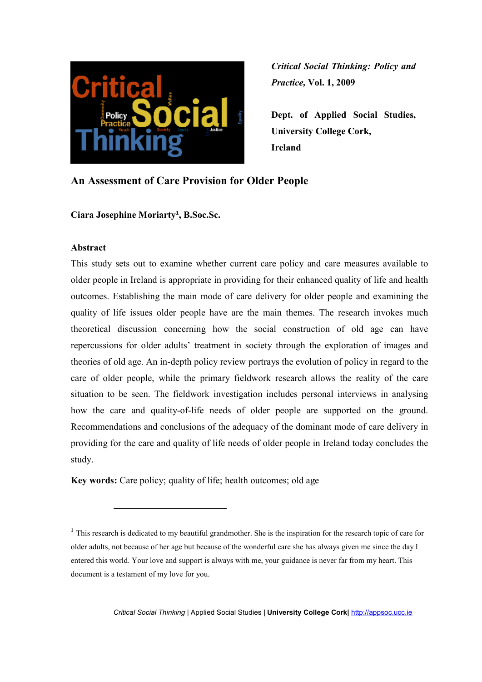

**Dept. of Applied Social Studies, University College Cork, Ireland** 

# **An Assessment of Care Provision for Older People**

**Ciara Josephine Moriarty<sup>1</sup> , B.Soc.Sc.** 

#### **Abstract**

 $\overline{a}$ 

This study sets out to examine whether current care policy and care measures available to older people in Ireland is appropriate in providing for their enhanced quality of life and health outcomes. Establishing the main mode of care delivery for older people and examining the quality of life issues older people have are the main themes. The research invokes much theoretical discussion concerning how the social construction of old age can have repercussions for older adults' treatment in society through the exploration of images and theories of old age. An in-depth policy review portrays the evolution of policy in regard to the care of older people, while the primary fieldwork research allows the reality of the care situation to be seen. The fieldwork investigation includes personal interviews in analysing how the care and quality-of-life needs of older people are supported on the ground. Recommendations and conclusions of the adequacy of the dominant mode of care delivery in providing for the care and quality of life needs of older people in Ireland today concludes the study.

**Key words:** Care policy; quality of life; health outcomes; old age

*Critical Social Thinking* | Applied Social Studies | **University College Cork|** http://appsoc.ucc.ie

<sup>&</sup>lt;sup>1</sup> This research is dedicated to my beautiful grandmother. She is the inspiration for the research topic of care for older adults, not because of her age but because of the wonderful care she has always given me since the day I entered this world. Your love and support is always with me, your guidance is never far from my heart. This document is a testament of my love for you.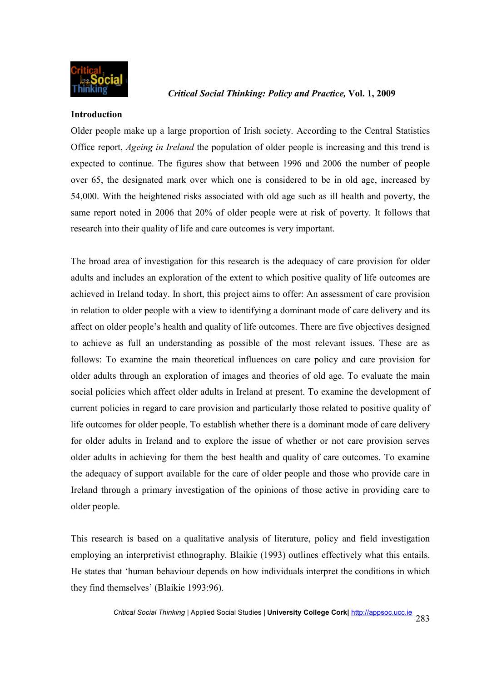

#### **Introduction**

Older people make up a large proportion of Irish society. According to the Central Statistics Office report, *Ageing in Ireland* the population of older people is increasing and this trend is expected to continue. The figures show that between 1996 and 2006 the number of people over 65, the designated mark over which one is considered to be in old age, increased by 54,000. With the heightened risks associated with old age such as ill health and poverty, the same report noted in 2006 that 20% of older people were at risk of poverty. It follows that research into their quality of life and care outcomes is very important.

The broad area of investigation for this research is the adequacy of care provision for older adults and includes an exploration of the extent to which positive quality of life outcomes are achieved in Ireland today. In short, this project aims to offer: An assessment of care provision in relation to older people with a view to identifying a dominant mode of care delivery and its affect on older people's health and quality of life outcomes. There are five objectives designed to achieve as full an understanding as possible of the most relevant issues. These are as follows: To examine the main theoretical influences on care policy and care provision for older adults through an exploration of images and theories of old age. To evaluate the main social policies which affect older adults in Ireland at present. To examine the development of current policies in regard to care provision and particularly those related to positive quality of life outcomes for older people. To establish whether there is a dominant mode of care delivery for older adults in Ireland and to explore the issue of whether or not care provision serves older adults in achieving for them the best health and quality of care outcomes. To examine the adequacy of support available for the care of older people and those who provide care in Ireland through a primary investigation of the opinions of those active in providing care to older people.

This research is based on a qualitative analysis of literature, policy and field investigation employing an interpretivist ethnography. Blaikie (1993) outlines effectively what this entails. He states that 'human behaviour depends on how individuals interpret the conditions in which they find themselves' (Blaikie 1993:96).

*Critical Social Thinking* | Applied Social Studies | **University College Cork|** http://appsoc.ucc.ie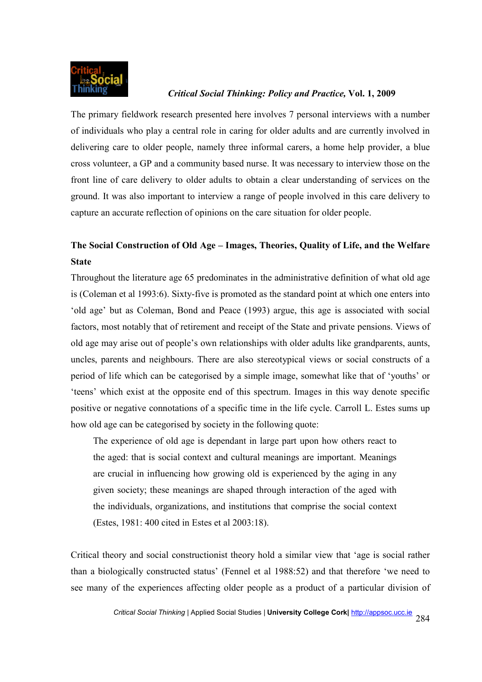

The primary fieldwork research presented here involves 7 personal interviews with a number of individuals who play a central role in caring for older adults and are currently involved in delivering care to older people, namely three informal carers, a home help provider, a blue cross volunteer, a GP and a community based nurse. It was necessary to interview those on the front line of care delivery to older adults to obtain a clear understanding of services on the ground. It was also important to interview a range of people involved in this care delivery to capture an accurate reflection of opinions on the care situation for older people.

# **The Social Construction of Old Age – Images, Theories, Quality of Life, and the Welfare State**

Throughout the literature age 65 predominates in the administrative definition of what old age is (Coleman et al 1993:6). Sixty-five is promoted as the standard point at which one enters into 'old age' but as Coleman, Bond and Peace (1993) argue, this age is associated with social factors, most notably that of retirement and receipt of the State and private pensions. Views of old age may arise out of people's own relationships with older adults like grandparents, aunts, uncles, parents and neighbours. There are also stereotypical views or social constructs of a period of life which can be categorised by a simple image, somewhat like that of 'youths' or 'teens' which exist at the opposite end of this spectrum. Images in this way denote specific positive or negative connotations of a specific time in the life cycle. Carroll L. Estes sums up how old age can be categorised by society in the following quote:

The experience of old age is dependant in large part upon how others react to the aged: that is social context and cultural meanings are important. Meanings are crucial in influencing how growing old is experienced by the aging in any given society; these meanings are shaped through interaction of the aged with the individuals, organizations, and institutions that comprise the social context (Estes, 1981: 400 cited in Estes et al 2003:18).

Critical theory and social constructionist theory hold a similar view that 'age is social rather than a biologically constructed status' (Fennel et al 1988:52) and that therefore 'we need to see many of the experiences affecting older people as a product of a particular division of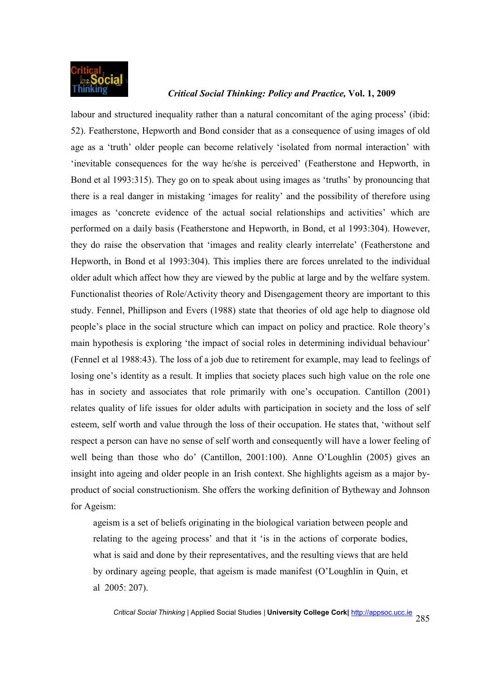

labour and structured inequality rather than a natural concomitant of the aging process' (ibid: 52). Featherstone, Hepworth and Bond consider that as a consequence of using images of old age as a 'truth' older people can become relatively 'isolated from normal interaction' with 'inevitable consequences for the way he/she is perceived' (Featherstone and Hepworth, in Bond et al 1993:315). They go on to speak about using images as 'truths' by pronouncing that there is a real danger in mistaking 'images for reality' and the possibility of therefore using images as 'concrete evidence of the actual social relationships and activities' which are performed on a daily basis (Featherstone and Hepworth, in Bond, et al 1993:304). However, they do raise the observation that 'images and reality clearly interrelate' (Featherstone and Hepworth, in Bond et al 1993:304). This implies there are forces unrelated to the individual older adult which affect how they are viewed by the public at large and by the welfare system. Functionalist theories of Role/Activity theory and Disengagement theory are important to this study. Fennel, Phillipson and Evers (1988) state that theories of old age help to diagnose old people's place in the social structure which can impact on policy and practice. Role theory's main hypothesis is exploring 'the impact of social roles in determining individual behaviour' (Fennel et al 1988:43). The loss of a job due to retirement for example, may lead to feelings of losing one's identity as a result. It implies that society places such high value on the role one has in society and associates that role primarily with one's occupation. Cantillon (2001) relates quality of life issues for older adults with participation in society and the loss of self esteem, self worth and value through the loss of their occupation. He states that, 'without self respect a person can have no sense of self worth and consequently will have a lower feeling of well being than those who do' (Cantillon, 2001:100). Anne O'Loughlin (2005) gives an insight into ageing and older people in an Irish context. She highlights ageism as a major byproduct of social constructionism. She offers the working definition of Bytheway and Johnson for Ageism:

ageism is a set of beliefs originating in the biological variation between people and relating to the ageing process' and that it 'is in the actions of corporate bodies, what is said and done by their representatives, and the resulting views that are held by ordinary ageing people, that ageism is made manifest (O'Loughlin in Quin, et al 2005: 207).

*Critical Social Thinking* | Applied Social Studies | **University College Cork|** http://appsoc.ucc.ie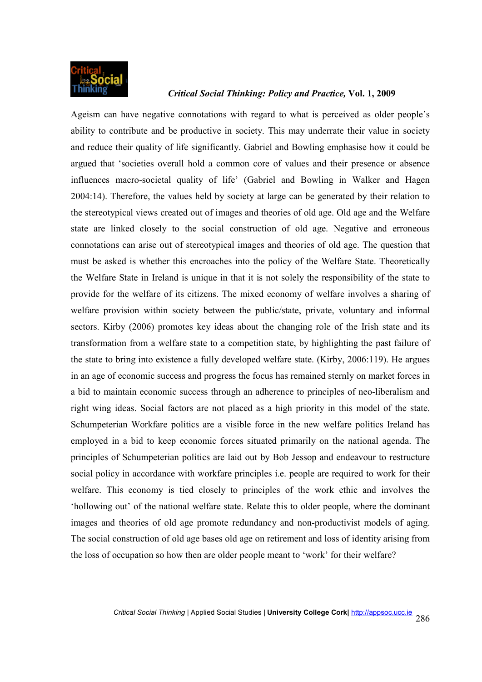

Ageism can have negative connotations with regard to what is perceived as older people's ability to contribute and be productive in society. This may underrate their value in society and reduce their quality of life significantly. Gabriel and Bowling emphasise how it could be argued that 'societies overall hold a common core of values and their presence or absence influences macro-societal quality of life' (Gabriel and Bowling in Walker and Hagen 2004:14). Therefore, the values held by society at large can be generated by their relation to the stereotypical views created out of images and theories of old age. Old age and the Welfare state are linked closely to the social construction of old age. Negative and erroneous connotations can arise out of stereotypical images and theories of old age. The question that must be asked is whether this encroaches into the policy of the Welfare State. Theoretically the Welfare State in Ireland is unique in that it is not solely the responsibility of the state to provide for the welfare of its citizens. The mixed economy of welfare involves a sharing of welfare provision within society between the public/state, private, voluntary and informal sectors. Kirby (2006) promotes key ideas about the changing role of the Irish state and its transformation from a welfare state to a competition state, by highlighting the past failure of the state to bring into existence a fully developed welfare state. (Kirby, 2006:119). He argues in an age of economic success and progress the focus has remained sternly on market forces in a bid to maintain economic success through an adherence to principles of neo-liberalism and right wing ideas. Social factors are not placed as a high priority in this model of the state. Schumpeterian Workfare politics are a visible force in the new welfare politics Ireland has employed in a bid to keep economic forces situated primarily on the national agenda. The principles of Schumpeterian politics are laid out by Bob Jessop and endeavour to restructure social policy in accordance with workfare principles i.e. people are required to work for their welfare. This economy is tied closely to principles of the work ethic and involves the 'hollowing out' of the national welfare state. Relate this to older people, where the dominant images and theories of old age promote redundancy and non-productivist models of aging. The social construction of old age bases old age on retirement and loss of identity arising from the loss of occupation so how then are older people meant to 'work' for their welfare?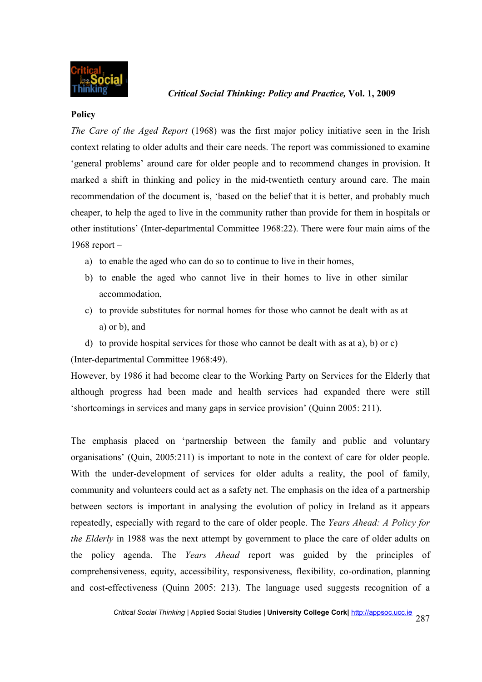

#### **Policy**

*The Care of the Aged Report* (1968) was the first major policy initiative seen in the Irish context relating to older adults and their care needs. The report was commissioned to examine 'general problems' around care for older people and to recommend changes in provision. It marked a shift in thinking and policy in the mid-twentieth century around care. The main recommendation of the document is, 'based on the belief that it is better, and probably much cheaper, to help the aged to live in the community rather than provide for them in hospitals or other institutions' (Inter-departmental Committee 1968:22). There were four main aims of the 1968 report –

- a) to enable the aged who can do so to continue to live in their homes,
- b) to enable the aged who cannot live in their homes to live in other similar accommodation,
- c) to provide substitutes for normal homes for those who cannot be dealt with as at a) or b), and
- d) to provide hospital services for those who cannot be dealt with as at a), b) or c) (Inter-departmental Committee 1968:49).

However, by 1986 it had become clear to the Working Party on Services for the Elderly that although progress had been made and health services had expanded there were still 'shortcomings in services and many gaps in service provision' (Quinn 2005: 211).

The emphasis placed on 'partnership between the family and public and voluntary organisations' (Quin, 2005:211) is important to note in the context of care for older people. With the under-development of services for older adults a reality, the pool of family, community and volunteers could act as a safety net. The emphasis on the idea of a partnership between sectors is important in analysing the evolution of policy in Ireland as it appears repeatedly, especially with regard to the care of older people. The *Years Ahead: A Policy for the Elderly* in 1988 was the next attempt by government to place the care of older adults on the policy agenda. The *Years Ahead* report was guided by the principles of comprehensiveness, equity, accessibility, responsiveness, flexibility, co-ordination, planning and cost-effectiveness (Quinn 2005: 213). The language used suggests recognition of a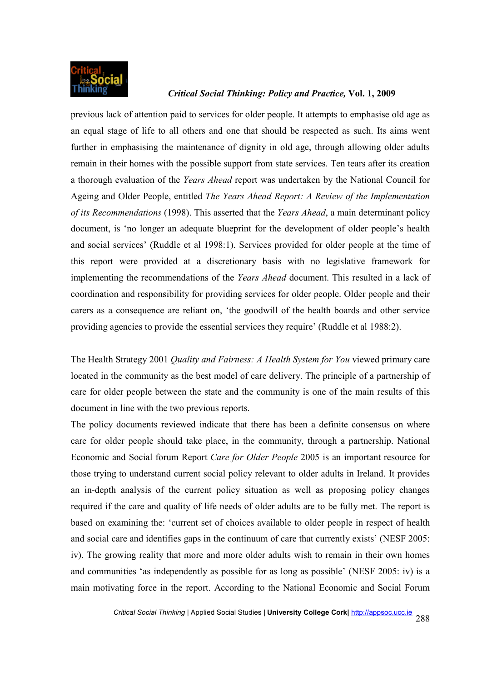

previous lack of attention paid to services for older people. It attempts to emphasise old age as an equal stage of life to all others and one that should be respected as such. Its aims went further in emphasising the maintenance of dignity in old age, through allowing older adults remain in their homes with the possible support from state services. Ten tears after its creation a thorough evaluation of the *Years Ahead* report was undertaken by the National Council for Ageing and Older People, entitled *The Years Ahead Report: A Review of the Implementation of its Recommendations* (1998). This asserted that the *Years Ahead*, a main determinant policy document, is 'no longer an adequate blueprint for the development of older people's health and social services' (Ruddle et al 1998:1). Services provided for older people at the time of this report were provided at a discretionary basis with no legislative framework for implementing the recommendations of the *Years Ahead* document. This resulted in a lack of coordination and responsibility for providing services for older people. Older people and their carers as a consequence are reliant on, 'the goodwill of the health boards and other service providing agencies to provide the essential services they require' (Ruddle et al 1988:2).

The Health Strategy 2001 *Quality and Fairness: A Health System for You* viewed primary care located in the community as the best model of care delivery. The principle of a partnership of care for older people between the state and the community is one of the main results of this document in line with the two previous reports.

The policy documents reviewed indicate that there has been a definite consensus on where care for older people should take place, in the community, through a partnership. National Economic and Social forum Report *Care for Older People* 2005 is an important resource for those trying to understand current social policy relevant to older adults in Ireland. It provides an in-depth analysis of the current policy situation as well as proposing policy changes required if the care and quality of life needs of older adults are to be fully met. The report is based on examining the: 'current set of choices available to older people in respect of health and social care and identifies gaps in the continuum of care that currently exists' (NESF 2005: iv). The growing reality that more and more older adults wish to remain in their own homes and communities 'as independently as possible for as long as possible' (NESF 2005: iv) is a main motivating force in the report. According to the National Economic and Social Forum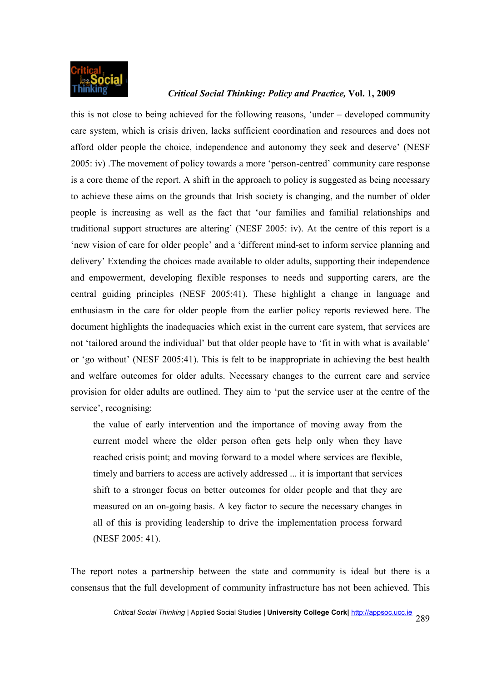

this is not close to being achieved for the following reasons, 'under – developed community care system, which is crisis driven, lacks sufficient coordination and resources and does not afford older people the choice, independence and autonomy they seek and deserve' (NESF 2005: iv) .The movement of policy towards a more 'person-centred' community care response is a core theme of the report. A shift in the approach to policy is suggested as being necessary to achieve these aims on the grounds that Irish society is changing, and the number of older people is increasing as well as the fact that 'our families and familial relationships and traditional support structures are altering' (NESF 2005: iv). At the centre of this report is a 'new vision of care for older people' and a 'different mind-set to inform service planning and delivery' Extending the choices made available to older adults, supporting their independence and empowerment, developing flexible responses to needs and supporting carers, are the central guiding principles (NESF 2005:41). These highlight a change in language and enthusiasm in the care for older people from the earlier policy reports reviewed here. The document highlights the inadequacies which exist in the current care system, that services are not 'tailored around the individual' but that older people have to 'fit in with what is available' or 'go without' (NESF 2005:41). This is felt to be inappropriate in achieving the best health and welfare outcomes for older adults. Necessary changes to the current care and service provision for older adults are outlined. They aim to 'put the service user at the centre of the service', recognising:

the value of early intervention and the importance of moving away from the current model where the older person often gets help only when they have reached crisis point; and moving forward to a model where services are flexible, timely and barriers to access are actively addressed ... it is important that services shift to a stronger focus on better outcomes for older people and that they are measured on an on-going basis. A key factor to secure the necessary changes in all of this is providing leadership to drive the implementation process forward (NESF 2005: 41).

The report notes a partnership between the state and community is ideal but there is a consensus that the full development of community infrastructure has not been achieved. This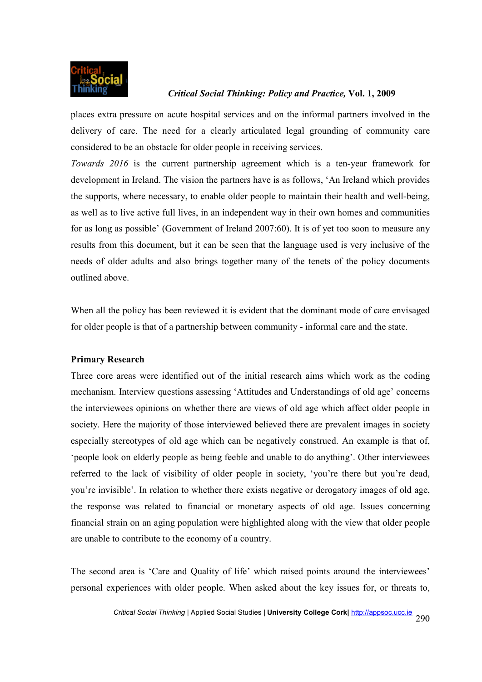

places extra pressure on acute hospital services and on the informal partners involved in the delivery of care. The need for a clearly articulated legal grounding of community care considered to be an obstacle for older people in receiving services.

*Towards 2016* is the current partnership agreement which is a ten-year framework for development in Ireland. The vision the partners have is as follows, 'An Ireland which provides the supports, where necessary, to enable older people to maintain their health and well-being, as well as to live active full lives, in an independent way in their own homes and communities for as long as possible' (Government of Ireland 2007:60). It is of yet too soon to measure any results from this document, but it can be seen that the language used is very inclusive of the needs of older adults and also brings together many of the tenets of the policy documents outlined above.

When all the policy has been reviewed it is evident that the dominant mode of care envisaged for older people is that of a partnership between community - informal care and the state.

## **Primary Research**

Three core areas were identified out of the initial research aims which work as the coding mechanism. Interview questions assessing 'Attitudes and Understandings of old age' concerns the interviewees opinions on whether there are views of old age which affect older people in society. Here the majority of those interviewed believed there are prevalent images in society especially stereotypes of old age which can be negatively construed. An example is that of, 'people look on elderly people as being feeble and unable to do anything'. Other interviewees referred to the lack of visibility of older people in society, 'you're there but you're dead, you're invisible'. In relation to whether there exists negative or derogatory images of old age, the response was related to financial or monetary aspects of old age. Issues concerning financial strain on an aging population were highlighted along with the view that older people are unable to contribute to the economy of a country.

The second area is 'Care and Quality of life' which raised points around the interviewees' personal experiences with older people. When asked about the key issues for, or threats to,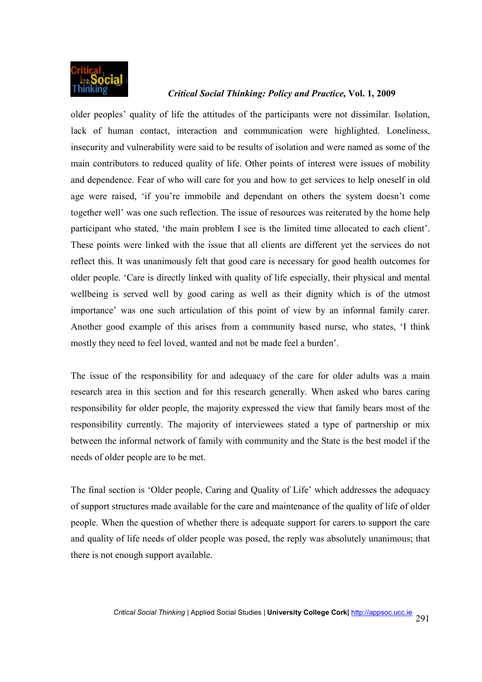

older peoples' quality of life the attitudes of the participants were not dissimilar. Isolation, lack of human contact, interaction and communication were highlighted. Loneliness, insecurity and vulnerability were said to be results of isolation and were named as some of the main contributors to reduced quality of life. Other points of interest were issues of mobility and dependence. Fear of who will care for you and how to get services to help oneself in old age were raised, 'if you're immobile and dependant on others the system doesn't come together well' was one such reflection. The issue of resources was reiterated by the home help participant who stated, 'the main problem I see is the limited time allocated to each client'. These points were linked with the issue that all clients are different yet the services do not reflect this. It was unanimously felt that good care is necessary for good health outcomes for older people. 'Care is directly linked with quality of life especially, their physical and mental wellbeing is served well by good caring as well as their dignity which is of the utmost importance' was one such articulation of this point of view by an informal family carer. Another good example of this arises from a community based nurse, who states, 'I think mostly they need to feel loved, wanted and not be made feel a burden'.

The issue of the responsibility for and adequacy of the care for older adults was a main research area in this section and for this research generally. When asked who bares caring responsibility for older people, the majority expressed the view that family bears most of the responsibility currently. The majority of interviewees stated a type of partnership or mix between the informal network of family with community and the State is the best model if the needs of older people are to be met.

The final section is 'Older people, Caring and Quality of Life' which addresses the adequacy of support structures made available for the care and maintenance of the quality of life of older people. When the question of whether there is adequate support for carers to support the care and quality of life needs of older people was posed, the reply was absolutely unanimous; that there is not enough support available.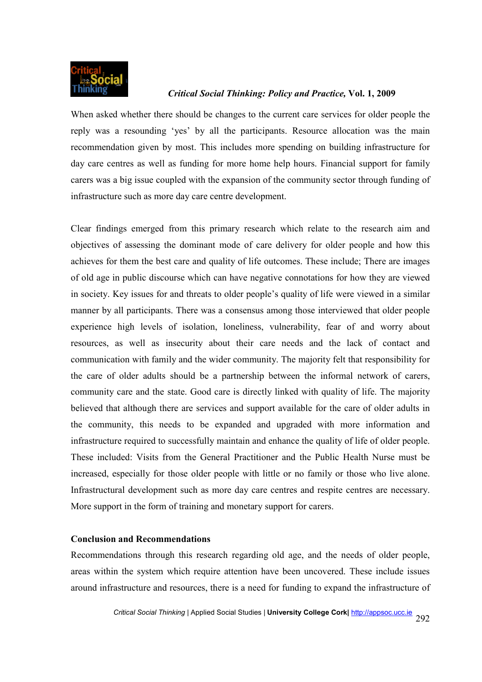

When asked whether there should be changes to the current care services for older people the reply was a resounding 'yes' by all the participants. Resource allocation was the main recommendation given by most. This includes more spending on building infrastructure for day care centres as well as funding for more home help hours. Financial support for family carers was a big issue coupled with the expansion of the community sector through funding of infrastructure such as more day care centre development.

Clear findings emerged from this primary research which relate to the research aim and objectives of assessing the dominant mode of care delivery for older people and how this achieves for them the best care and quality of life outcomes. These include; There are images of old age in public discourse which can have negative connotations for how they are viewed in society. Key issues for and threats to older people's quality of life were viewed in a similar manner by all participants. There was a consensus among those interviewed that older people experience high levels of isolation, loneliness, vulnerability, fear of and worry about resources, as well as insecurity about their care needs and the lack of contact and communication with family and the wider community. The majority felt that responsibility for the care of older adults should be a partnership between the informal network of carers, community care and the state. Good care is directly linked with quality of life. The majority believed that although there are services and support available for the care of older adults in the community, this needs to be expanded and upgraded with more information and infrastructure required to successfully maintain and enhance the quality of life of older people. These included: Visits from the General Practitioner and the Public Health Nurse must be increased, especially for those older people with little or no family or those who live alone. Infrastructural development such as more day care centres and respite centres are necessary. More support in the form of training and monetary support for carers.

## **Conclusion and Recommendations**

Recommendations through this research regarding old age, and the needs of older people, areas within the system which require attention have been uncovered. These include issues around infrastructure and resources, there is a need for funding to expand the infrastructure of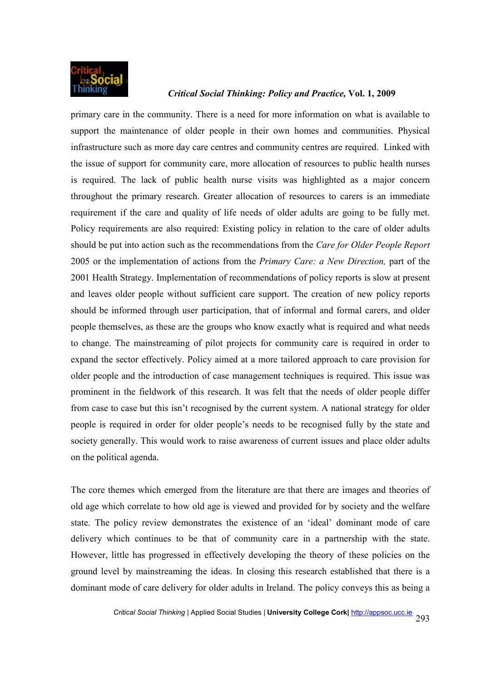

primary care in the community. There is a need for more information on what is available to support the maintenance of older people in their own homes and communities. Physical infrastructure such as more day care centres and community centres are required. Linked with the issue of support for community care, more allocation of resources to public health nurses is required. The lack of public health nurse visits was highlighted as a major concern throughout the primary research. Greater allocation of resources to carers is an immediate requirement if the care and quality of life needs of older adults are going to be fully met. Policy requirements are also required: Existing policy in relation to the care of older adults should be put into action such as the recommendations from the *Care for Older People Report* 2005 or the implementation of actions from the *Primary Care: a New Direction,* part of the 2001 Health Strategy. Implementation of recommendations of policy reports is slow at present and leaves older people without sufficient care support. The creation of new policy reports should be informed through user participation, that of informal and formal carers, and older people themselves, as these are the groups who know exactly what is required and what needs to change. The mainstreaming of pilot projects for community care is required in order to expand the sector effectively. Policy aimed at a more tailored approach to care provision for older people and the introduction of case management techniques is required. This issue was prominent in the fieldwork of this research. It was felt that the needs of older people differ from case to case but this isn't recognised by the current system. A national strategy for older people is required in order for older people's needs to be recognised fully by the state and society generally. This would work to raise awareness of current issues and place older adults on the political agenda.

The core themes which emerged from the literature are that there are images and theories of old age which correlate to how old age is viewed and provided for by society and the welfare state. The policy review demonstrates the existence of an 'ideal' dominant mode of care delivery which continues to be that of community care in a partnership with the state. However, little has progressed in effectively developing the theory of these policies on the ground level by mainstreaming the ideas. In closing this research established that there is a dominant mode of care delivery for older adults in Ireland. The policy conveys this as being a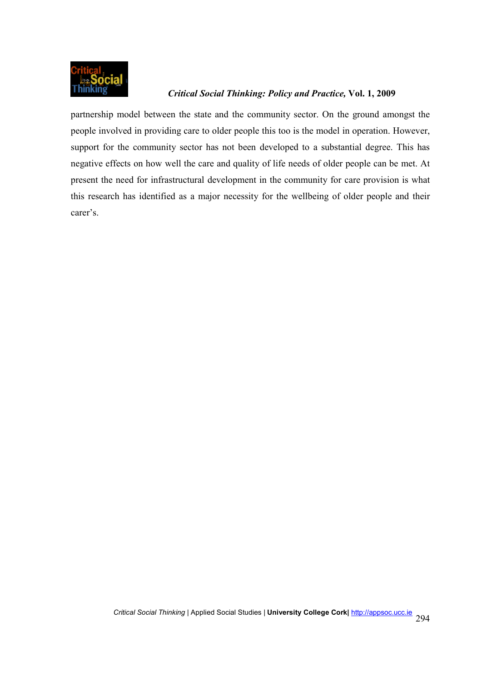

partnership model between the state and the community sector. On the ground amongst the people involved in providing care to older people this too is the model in operation. However, support for the community sector has not been developed to a substantial degree. This has negative effects on how well the care and quality of life needs of older people can be met. At present the need for infrastructural development in the community for care provision is what this research has identified as a major necessity for the wellbeing of older people and their carer's.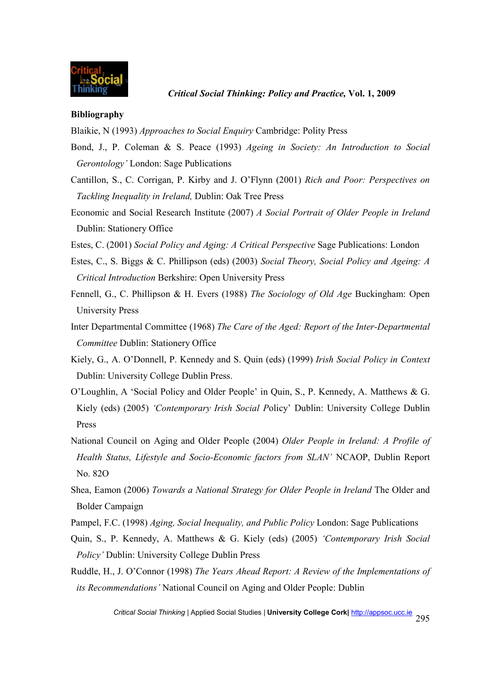

#### **Bibliography**

Blaikie, N (1993) *Approaches to Social Enquiry* Cambridge: Polity Press

- Bond, J., P. Coleman & S. Peace (1993) *Ageing in Society: An Introduction to Social Gerontology'* London: Sage Publications
- Cantillon, S., C. Corrigan, P. Kirby and J. O'Flynn (2001) *Rich and Poor: Perspectives on Tackling Inequality in Ireland,* Dublin: Oak Tree Press
- Economic and Social Research Institute (2007) *A Social Portrait of Older People in Ireland* Dublin: Stationery Office
- Estes, C. (2001) *Social Policy and Aging: A Critical Perspective* Sage Publications: London
- Estes, C., S. Biggs & C. Phillipson (eds) (2003) *Social Theory, Social Policy and Ageing: A Critical Introduction* Berkshire: Open University Press
- Fennell, G., C. Phillipson & H. Evers (1988) *The Sociology of Old Age* Buckingham: Open University Press
- Inter Departmental Committee (1968) *The Care of the Aged: Report of the Inter-Departmental Committee* Dublin: Stationery Office
- Kiely, G., A. O'Donnell, P. Kennedy and S. Quin (eds) (1999) *Irish Social Policy in Context*  Dublin: University College Dublin Press.
- O'Loughlin, A 'Social Policy and Older People' in Quin, S., P. Kennedy, A. Matthews & G. Kiely (eds) (2005) *'Contemporary Irish Social P*olicy' Dublin: University College Dublin Press
- National Council on Aging and Older People (2004) *Older People in Ireland: A Profile of Health Status, Lifestyle and Socio-Economic factors from SLAN'* NCAOP, Dublin Report No. 82O
- Shea, Eamon (2006) *Towards a National Strategy for Older People in Ireland* The Older and Bolder Campaign
- Pampel, F.C. (1998) *Aging, Social Inequality, and Public Policy* London: Sage Publications
- Quin, S., P. Kennedy, A. Matthews & G. Kiely (eds) (2005) *'Contemporary Irish Social Policy'* Dublin: University College Dublin Press
- Ruddle, H., J. O'Connor (1998) *The Years Ahead Report: A Review of the Implementations of its Recommendations'* National Council on Aging and Older People: Dublin

*Critical Social Thinking* | Applied Social Studies | **University College Cork|** http://appsoc.ucc.ie